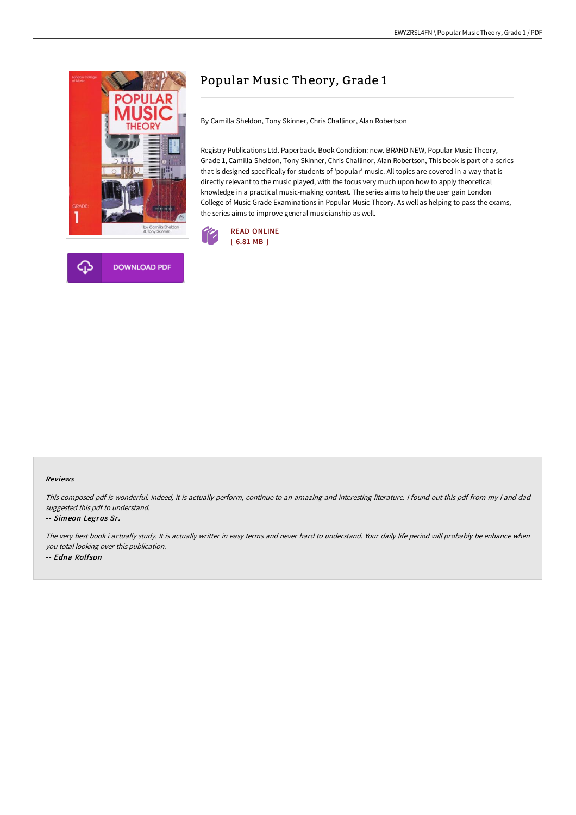

# Popular Music Theory, Grade 1

By Camilla Sheldon, Tony Skinner, Chris Challinor, Alan Robertson

Registry Publications Ltd. Paperback. Book Condition: new. BRAND NEW, Popular Music Theory, Grade 1, Camilla Sheldon, Tony Skinner, Chris Challinor, Alan Robertson, This book is part of a series that is designed specifically for students of 'popular' music. All topics are covered in a way that is directly relevant to the music played, with the focus very much upon how to apply theoretical knowledge in a practical music-making context. The series aims to help the user gain London College of Music Grade Examinations in Popular Music Theory. As well as helping to pass the exams, the series aims to improve general musicianship as well.



#### Reviews

This composed pdf is wonderful. Indeed, it is actually perform, continue to an amazing and interesting literature. <sup>I</sup> found out this pdf from my i and dad suggested this pdf to understand.

#### -- Simeon Legros Sr.

The very best book i actually study. It is actually writter in easy terms and never hard to understand. Your daily life period will probably be enhance when you total looking over this publication. -- Edna Rolfson